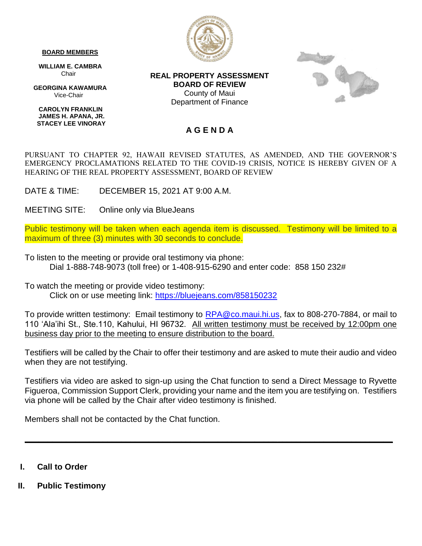## **BOARD MEMBERS**

 **WILLIAM E. CAMBRA** Chair

 **GEORGINA KAWAMURA** Vice-Chair

 **CAROLYN FRANKLIN JAMES H. APANA, JR. STACEY LEE VINORAY**



**REAL PROPERTY ASSESSMENT BOARD OF REVIEW** County of Maui Department of Finance



## **A G E N D A**

PURSUANT TO CHAPTER 92, HAWAII REVISED STATUTES, AS AMENDED, AND THE GOVERNOR'S EMERGENCY PROCLAMATIONS RELATED TO THE COVID-19 CRISIS, NOTICE IS HEREBY GIVEN OF A HEARING OF THE REAL PROPERTY ASSESSMENT, BOARD OF REVIEW

DATE & TIME: DECEMBER 15, 2021 AT 9:00 A.M.

MEETING SITE: Online only via BlueJeans

Public testimony will be taken when each agenda item is discussed. Testimony will be limited to a maximum of three (3) minutes with 30 seconds to conclude.

To listen to the meeting or provide oral testimony via phone: Dial 1-888-748-9073 (toll free) or 1-408-915-6290 and enter code: 858 150 232#

To watch the meeting or provide video testimony: Click on or use meeting link:<https://bluejeans.com/858150232>

To provide written testimony: Email testimony to [RPA@co.maui.hi.us,](mailto:RPA@co.maui.hi.us) fax to 808-270-7884, or mail to 110 'Ala'ihi St., Ste.110, Kahului, HI 96732. All written testimony must be received by 12:00pm one business day prior to the meeting to ensure distribution to the board.

Testifiers will be called by the Chair to offer their testimony and are asked to mute their audio and video when they are not testifying.

Testifiers via video are asked to sign-up using the Chat function to send a Direct Message to Ryvette Figueroa, Commission Support Clerk, providing your name and the item you are testifying on. Testifiers via phone will be called by the Chair after video testimony is finished.

**\_\_\_\_\_\_\_\_\_\_\_\_\_\_\_\_\_\_\_\_\_\_\_\_\_\_\_\_\_\_\_\_\_\_\_\_\_\_\_\_\_\_\_\_\_\_\_\_\_\_\_\_\_\_\_\_\_\_\_\_\_\_\_\_\_\_\_\_\_\_\_\_\_\_\_\_\_\_\_\_**

Members shall not be contacted by the Chat function.

- **I. Call to Order**
- **II. Public Testimony**